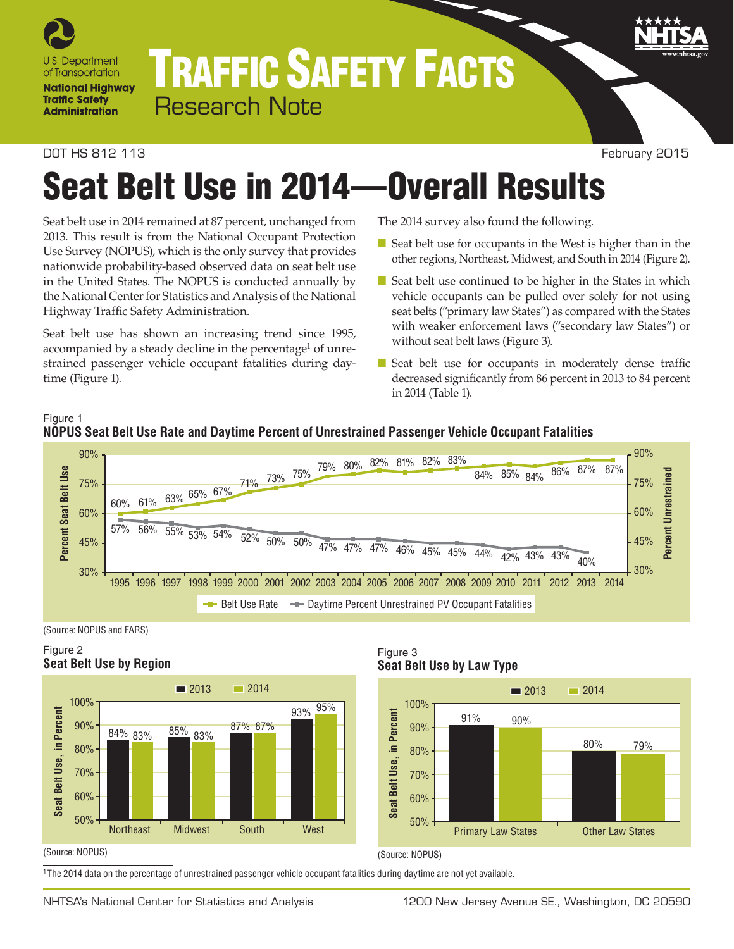

## TRAFFIC SAFETY FACTS Research Note

### DOT HS 812 113 February 2015

# Seat Belt Use in 2014—Overall Results

Seat belt use in 2014 remained at 87 percent, unchanged from 2013. This result is from the National Occupant Protection Use Survey (NOPUS), which is the only survey that provides nationwide probability-based observed data on seat belt use in the United States. The NOPUS is conducted annually by the National Center for Statistics and Analysis of the National Highway Traffic Safety Administration.

Seat belt use has shown an increasing trend since 1995, accompanied by a steady decline in the percentage<sup>1</sup> of unrestrained passenger vehicle occupant fatalities during daytime (Figure 1).

The 2014 survey also found the following.

- Seat belt use for occupants in the West is higher than in the other regions, Northeast, Midwest, and South in 2014 (Figure 2).
- Seat belt use continued to be higher in the States in which vehicle occupants can be pulled over solely for not using seat belts ("primary law States") as compared with the States with weaker enforcement laws ("secondary law States") or without seat belt laws (Figure 3).
- Seat belt use for occupants in moderately dense traffic decreased significantly from 86 percent in 2013 to 84 percent in 2014 (Table 1).





(Source: NOPUS and FARS)

## Figure 2 **Seat Belt Use by Region**



Figure 3 **Seat Belt Use by Law Type**



#### (Source: NOPUS)

1The 2014 data on the percentage of unrestrained passenger vehicle occupant fatalities during daytime are not yet available.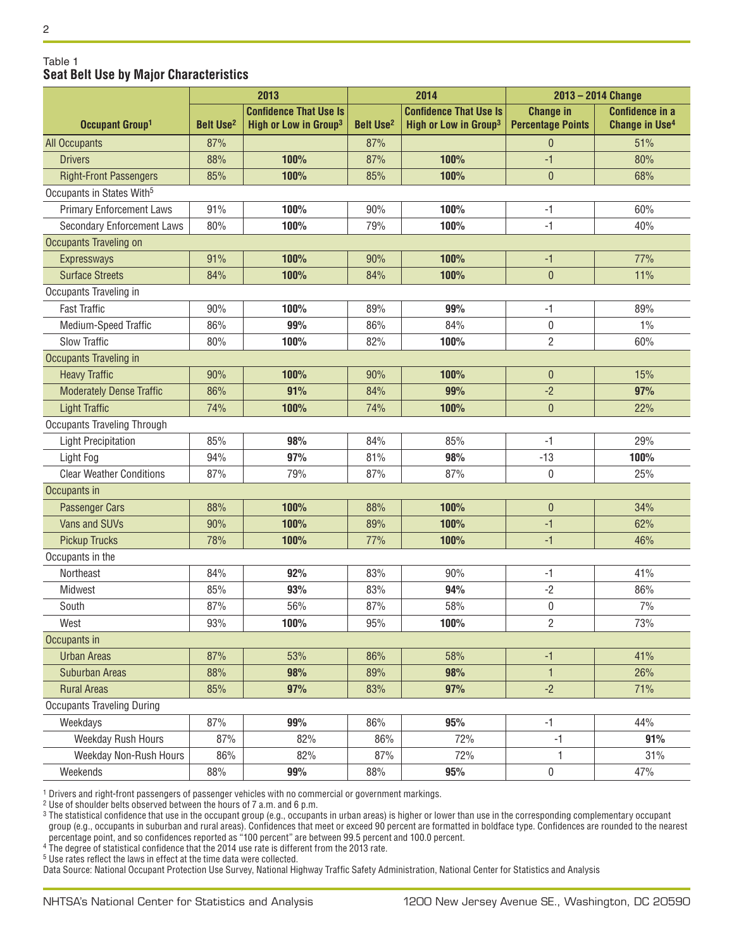#### Table 1 **Seat Belt Use by Major Characteristics**

|                                       | 2013                          |                                   | 2014                          |                                   | $2013 - 2014$ Change     |                                  |
|---------------------------------------|-------------------------------|-----------------------------------|-------------------------------|-----------------------------------|--------------------------|----------------------------------|
|                                       | <b>Confidence That Use Is</b> |                                   | <b>Confidence That Use Is</b> |                                   | <b>Change in</b>         | <b>Confidence in a</b>           |
| Occupant Group <sup>1</sup>           | <b>Belt Use<sup>2</sup></b>   | High or Low in Group <sup>3</sup> | <b>Belt Use<sup>2</sup></b>   | High or Low in Group <sup>3</sup> | <b>Percentage Points</b> | <b>Change in Use<sup>4</sup></b> |
| <b>All Occupants</b>                  | 87%                           |                                   | 87%                           |                                   | $\theta$                 | 51%                              |
| <b>Drivers</b>                        | 88%                           | 100%                              | 87%                           | 100%                              | $-1$                     | 80%                              |
| <b>Right-Front Passengers</b>         | 85%                           | 100%                              | 85%                           | 100%                              | $\mathbf{0}$             | 68%                              |
| Occupants in States With <sup>5</sup> |                               |                                   |                               |                                   |                          |                                  |
| <b>Primary Enforcement Laws</b>       | 91%                           | 100%                              | 90%                           | 100%                              | $-1$                     | 60%                              |
| <b>Secondary Enforcement Laws</b>     | 80%                           | 100%                              | 79%                           | 100%                              | -1                       | 40%                              |
| Occupants Traveling on                |                               |                                   |                               |                                   |                          |                                  |
| <b>Expressways</b>                    | 91%                           | 100%                              | 90%                           | 100%                              | $-1$                     | 77%                              |
| <b>Surface Streets</b>                | 84%                           | 100%                              | 84%                           | 100%                              | $\theta$                 | 11%                              |
| Occupants Traveling in                |                               |                                   |                               |                                   |                          |                                  |
| <b>Fast Traffic</b>                   | 90%                           | 100%                              | 89%                           | 99%                               | $-1$                     | 89%                              |
| Medium-Speed Traffic                  | 86%                           | 99%                               | 86%                           | 84%                               | 0                        | $1\%$                            |
| <b>Slow Traffic</b>                   | 80%                           | 100%                              | 82%                           | 100%                              | $\overline{2}$           | 60%                              |
| Occupants Traveling in                |                               |                                   |                               |                                   |                          |                                  |
| <b>Heavy Traffic</b>                  | 90%                           | 100%                              | 90%                           | 100%                              | $\theta$                 | 15%                              |
| <b>Moderately Dense Traffic</b>       | 86%                           | 91%                               | 84%                           | 99%                               | $-2$                     | 97%                              |
| <b>Light Traffic</b>                  | 74%                           | 100%                              | 74%                           | 100%                              | $\mathbf{0}$             | 22%                              |
| <b>Occupants Traveling Through</b>    |                               |                                   |                               |                                   |                          |                                  |
| <b>Light Precipitation</b>            | 85%                           | 98%                               | 84%                           | 85%                               | $-1$                     | 29%                              |
| Light Fog                             | 94%                           | 97%                               | 81%                           | 98%                               | $-13$                    | 100%                             |
| <b>Clear Weather Conditions</b>       | 87%                           | 79%                               | 87%                           | 87%                               | 0                        | 25%                              |
| Occupants in                          |                               |                                   |                               |                                   |                          |                                  |
| <b>Passenger Cars</b>                 | 88%                           | 100%                              | 88%                           | 100%                              | $\theta$                 | 34%                              |
| Vans and SUVs                         | 90%                           | 100%                              | 89%                           | 100%                              | $-1$                     | 62%                              |
| <b>Pickup Trucks</b>                  | 78%                           | 100%                              | 77%                           | 100%                              | $-1$                     | 46%                              |
| Occupants in the                      |                               |                                   |                               |                                   |                          |                                  |
| Northeast                             | 84%                           | 92%                               | 83%                           | 90%                               | $-1$                     | 41%                              |
| Midwest                               | 85%                           | 93%                               | 83%                           | 94%                               | $-2$                     | 86%                              |
| South                                 | 87%                           | 56%                               | 87%                           | 58%                               | $\boldsymbol{0}$         | 7%                               |
| West                                  | 93%                           | 100%                              | 95%                           | 100%                              | $\overline{c}$           | 73%                              |
| Occupants in                          |                               |                                   |                               |                                   |                          |                                  |
| <b>Urban Areas</b>                    | 87%                           | 53%                               | 86%                           | 58%                               | $-1$                     | 41%                              |
| <b>Suburban Areas</b>                 | 88%                           | 98%                               | 89%                           | 98%                               | $\mathbf{1}$             | 26%                              |
| <b>Rural Areas</b>                    | 85%                           | 97%                               | 83%                           | 97%                               | $-2$                     | 71%                              |
| <b>Occupants Traveling During</b>     |                               |                                   |                               |                                   |                          |                                  |
| Weekdays                              | 87%                           | 99%                               | 86%                           | 95%                               | $-1$                     | 44%                              |
| Weekday Rush Hours                    | 87%                           | 82%                               | 86%                           | 72%                               | $-1$                     | 91%                              |
| Weekday Non-Rush Hours                | 86%                           | 82%                               | 87%                           | 72%                               | 1                        | 31%                              |
| Weekends                              | 88%                           | 99%                               | 88%                           | 95%                               | 0                        | 47%                              |

 $^{\rm 1}$  Drivers and right-front passengers of passenger vehicles with no commercial or government markings.

2 Use of shoulder belts observed between the hours of 7 a.m. and 6 p.m.

 $^3$  The statistical confidence that use in the occupant group (e.g., occupants in urban areas) is higher or lower than use in the corresponding complementary occupant group (e.g., occupants in suburban and rural areas). Confidences that meet or exceed 90 percent are formatted in boldface type. Confidences are rounded to the nearest percentage point, and so confidences reported as "100 percent" are between 99.5 percent and 100.0 percent.

<sup>4</sup> The degree of statistical confidence that the 2014 use rate is different from the 2013 rate.

5 Use rates reflect the laws in effect at the time data were collected.

Data Source: National Occupant Protection Use Survey, National Highway Traffic Safety Administration, National Center for Statistics and Analysis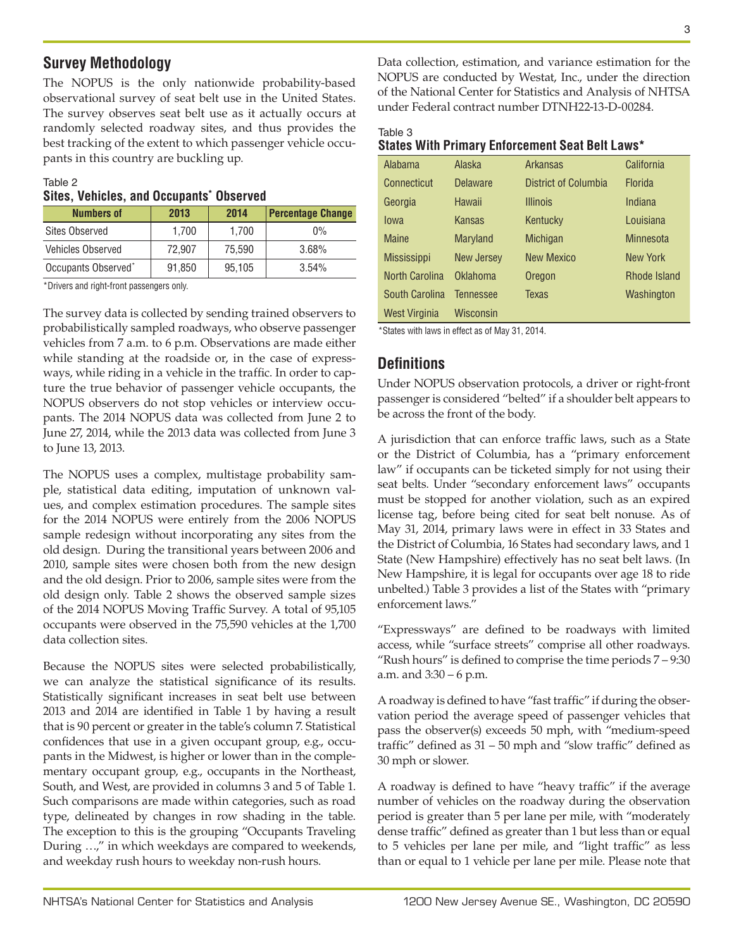## **Survey Methodology**

The NOPUS is the only nationwide probability-based observational survey of seat belt use in the United States. The survey observes seat belt use as it actually occurs at randomly selected roadway sites, and thus provides the best tracking of the extent to which passenger vehicle occupants in this country are buckling up.

#### Table 2

|  |  |  |  | Sites, Vehicles, and Occupants* Observed |
|--|--|--|--|------------------------------------------|
|--|--|--|--|------------------------------------------|

| <b>Numbers of</b>               | 2013   | 2014   | <b>Percentage Change</b> |
|---------------------------------|--------|--------|--------------------------|
| <b>Sites Observed</b>           | 1.700  | 1.700  | $0\%$                    |
| <b>Vehicles Observed</b>        | 72.907 | 75.590 | 3.68%                    |
| Occupants Observed <sup>*</sup> | 91,850 | 95.105 | $3.54\%$                 |

\*Drivers and right-front passengers only.

The survey data is collected by sending trained observers to probabilistically sampled roadways, who observe passenger vehicles from 7 a.m. to 6 p.m. Observations are made either while standing at the roadside or, in the case of expressways, while riding in a vehicle in the traffic. In order to capture the true behavior of passenger vehicle occupants, the NOPUS observers do not stop vehicles or interview occupants. The 2014 NOPUS data was collected from June 2 to June 27, 2014, while the 2013 data was collected from June 3 to June 13, 2013.

The NOPUS uses a complex, multistage probability sample, statistical data editing, imputation of unknown values, and complex estimation procedures. The sample sites for the 2014 NOPUS were entirely from the 2006 NOPUS sample redesign without incorporating any sites from the old design. During the transitional years between 2006 and 2010, sample sites were chosen both from the new design and the old design. Prior to 2006, sample sites were from the old design only. Table 2 shows the observed sample sizes of the 2014 NOPUS Moving Traffic Survey. A total of 95,105 occupants were observed in the 75,590 vehicles at the 1,700 data collection sites.

Because the NOPUS sites were selected probabilistically, we can analyze the statistical significance of its results. Statistically significant increases in seat belt use between 2013 and 2014 are identified in Table 1 by having a result that is 90 percent or greater in the table's column 7. Statistical confidences that use in a given occupant group, e.g., occupants in the Midwest, is higher or lower than in the complementary occupant group, e.g., occupants in the Northeast, South, and West, are provided in columns 3 and 5 of Table 1. Such comparisons are made within categories, such as road type, delineated by changes in row shading in the table. The exception to this is the grouping "Occupants Traveling During …," in which weekdays are compared to weekends, and weekday rush hours to weekday non-rush hours.

Data collection, estimation, and variance estimation for the NOPUS are conducted by Westat, Inc., under the direction of the National Center for Statistics and Analysis of NHTSA under Federal contract number DTNH22-13-D-00284.

| Table 3                                                |  |  |  |
|--------------------------------------------------------|--|--|--|
| <b>States With Primary Enforcement Seat Belt Laws*</b> |  |  |  |
|                                                        |  |  |  |

| Alabama               | Alaska            | <b>Arkansas</b>      | California       |
|-----------------------|-------------------|----------------------|------------------|
| Connecticut           | <b>Delaware</b>   | District of Columbia | <b>Florida</b>   |
| Georgia               | Hawaii            | <b>Illinois</b>      | Indiana          |
| Iowa                  | Kansas            | Kentucky             | Louisiana        |
| <b>Maine</b>          | <b>Maryland</b>   | <b>Michigan</b>      | <b>Minnesota</b> |
| <b>Mississippi</b>    | <b>New Jersey</b> | <b>New Mexico</b>    | <b>New York</b>  |
| <b>North Carolina</b> | Oklahoma          | Oregon               | Rhode Island     |
| South Carolina        | Tennessee         | <b>Texas</b>         | Washington       |
| <b>West Virginia</b>  | Wisconsin         |                      |                  |

\*States with laws in effect as of May 31, 2014.

## **Definitions**

Under NOPUS observation protocols, a driver or right-front passenger is considered "belted" if a shoulder belt appears to be across the front of the body.

A jurisdiction that can enforce traffic laws, such as a State or the District of Columbia, has a "primary enforcement law" if occupants can be ticketed simply for not using their seat belts. Under "secondary enforcement laws" occupants must be stopped for another violation, such as an expired license tag, before being cited for seat belt nonuse. As of May 31, 2014, primary laws were in effect in 33 States and the District of Columbia, 16 States had secondary laws, and 1 State (New Hampshire) effectively has no seat belt laws. (In New Hampshire, it is legal for occupants over age 18 to ride unbelted.) Table 3 provides a list of the States with "primary enforcement laws."

"Expressways" are defined to be roadways with limited access, while "surface streets" comprise all other roadways. "Rush hours" is defined to comprise the time periods  $7 - 9:30$ a.m. and 3:30 – 6 p.m.

A roadway is defined to have "fast traffic" if during the observation period the average speed of passenger vehicles that pass the observer(s) exceeds 50 mph, with "medium-speed traffic" defined as 31 – 50 mph and "slow traffic" defined as 30 mph or slower.

A roadway is defined to have "heavy traffic" if the average number of vehicles on the roadway during the observation period is greater than 5 per lane per mile, with "moderately dense traffic" defined as greater than 1 but less than or equal to 5 vehicles per lane per mile, and "light traffic" as less than or equal to 1 vehicle per lane per mile. Please note that